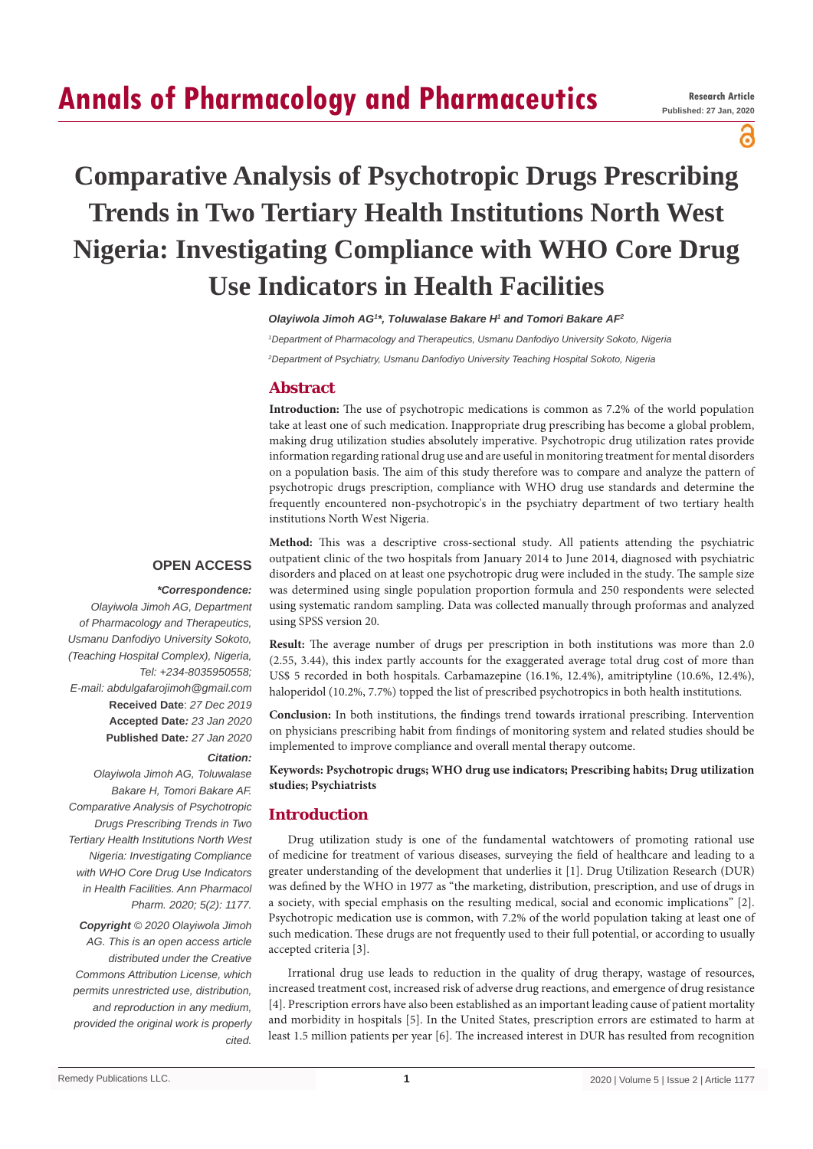# **Annals of Pharmacology and Pharmaceutics**

a

# **Comparative Analysis of Psychotropic Drugs Prescribing Trends in Two Tertiary Health Institutions North West Nigeria: Investigating Compliance with WHO Core Drug Use Indicators in Health Facilities**

*Olayiwola Jimoh AG1 \*, Toluwalase Bakare H1 and Tomori Bakare AF2*

*1 Department of Pharmacology and Therapeutics, Usmanu Danfodiyo University Sokoto, Nigeria 2 Department of Psychiatry, Usmanu Danfodiyo University Teaching Hospital Sokoto, Nigeria*

# **Abstract**

**Introduction:** The use of psychotropic medications is common as 7.2% of the world population take at least one of such medication. Inappropriate drug prescribing has become a global problem, making drug utilization studies absolutely imperative. Psychotropic drug utilization rates provide information regarding rational drug use and are useful in monitoring treatment for mental disorders on a population basis. The aim of this study therefore was to compare and analyze the pattern of psychotropic drugs prescription, compliance with WHO drug use standards and determine the frequently encountered non-psychotropic's in the psychiatry department of two tertiary health institutions North West Nigeria.

# **OPEN ACCESS**

#### *\*Correspondence:*

*Olayiwola Jimoh AG, Department of Pharmacology and Therapeutics, Usmanu Danfodiyo University Sokoto, (Teaching Hospital Complex), Nigeria, Tel: +234-8035950558; E-mail: abdulgafarojimoh@gmail.com* **Received Date**: *27 Dec 2019* **Accepted Date***: 23 Jan 2020* **Published Date***: 27 Jan 2020*

#### *Citation:*

*Olayiwola Jimoh AG, Toluwalase Bakare H, Tomori Bakare AF. Comparative Analysis of Psychotropic Drugs Prescribing Trends in Two Tertiary Health Institutions North West Nigeria: Investigating Compliance with WHO Core Drug Use Indicators in Health Facilities. Ann Pharmacol Pharm. 2020; 5(2): 1177. Copyright © 2020 Olayiwola Jimoh AG. This is an open access article distributed under the Creative Commons Attribution License, which permits unrestricted use, distribution, and reproduction in any medium, provided the original work is properly cited.*

**Method:** This was a descriptive cross-sectional study. All patients attending the psychiatric outpatient clinic of the two hospitals from January 2014 to June 2014, diagnosed with psychiatric disorders and placed on at least one psychotropic drug were included in the study. The sample size was determined using single population proportion formula and 250 respondents were selected using systematic random sampling. Data was collected manually through proformas and analyzed using SPSS version 20.

**Result:** The average number of drugs per prescription in both institutions was more than 2.0 (2.55, 3.44), this index partly accounts for the exaggerated average total drug cost of more than US\$ 5 recorded in both hospitals. Carbamazepine (16.1%, 12.4%), amitriptyline (10.6%, 12.4%), haloperidol (10.2%, 7.7%) topped the list of prescribed psychotropics in both health institutions.

**Conclusion:** In both institutions, the findings trend towards irrational prescribing. Intervention on physicians prescribing habit from findings of monitoring system and related studies should be implemented to improve compliance and overall mental therapy outcome.

**Keywords: Psychotropic drugs; WHO drug use indicators; Prescribing habits; Drug utilization studies; Psychiatrists**

## **Introduction**

Drug utilization study is one of the fundamental watchtowers of promoting rational use of medicine for treatment of various diseases, surveying the field of healthcare and leading to a greater understanding of the development that underlies it [1]. Drug Utilization Research (DUR) was defined by the WHO in 1977 as "the marketing, distribution, prescription, and use of drugs in a society, with special emphasis on the resulting medical, social and economic implications" [2]. Psychotropic medication use is common, with 7.2% of the world population taking at least one of such medication. These drugs are not frequently used to their full potential, or according to usually accepted criteria [3].

Irrational drug use leads to reduction in the quality of drug therapy, wastage of resources, increased treatment cost, increased risk of adverse drug reactions, and emergence of drug resistance [4]. Prescription errors have also been established as an important leading cause of patient mortality and morbidity in hospitals [5]. In the United States, prescription errors are estimated to harm at least 1.5 million patients per year [6]. The increased interest in DUR has resulted from recognition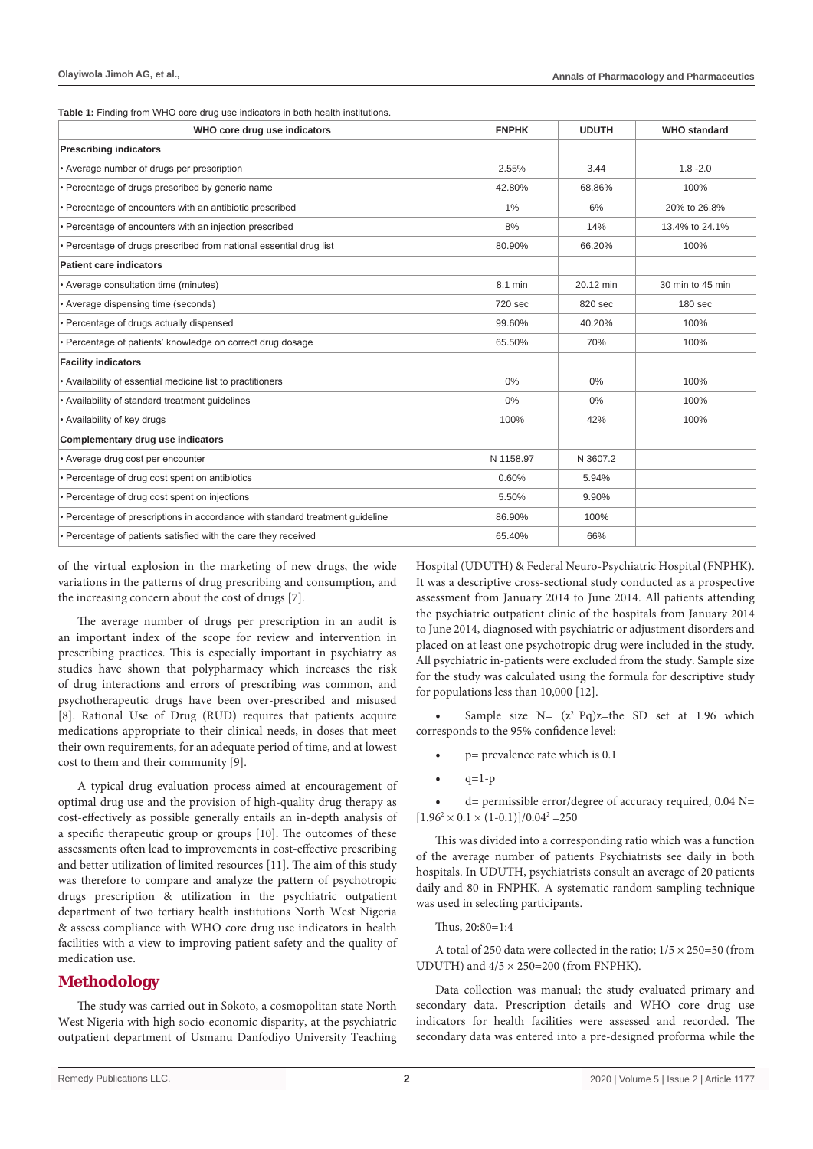**Table 1:** Finding from WHO core drug use indicators in both health institutions.

| WHO core drug use indicators                                                  | <b>FNPHK</b> | <b>UDUTH</b> | <b>WHO</b> standard |
|-------------------------------------------------------------------------------|--------------|--------------|---------------------|
| <b>Prescribing indicators</b>                                                 |              |              |                     |
| • Average number of drugs per prescription                                    | 2.55%        | 3.44         | $1.8 - 2.0$         |
| • Percentage of drugs prescribed by generic name                              | 42.80%       | 68.86%       | 100%                |
| • Percentage of encounters with an antibiotic prescribed                      | 1%           | 6%           | 20% to 26.8%        |
| • Percentage of encounters with an injection prescribed                       | 8%           | 14%          | 13.4% to 24.1%      |
| • Percentage of drugs prescribed from national essential drug list            | 80.90%       | 66.20%       | 100%                |
| <b>Patient care indicators</b>                                                |              |              |                     |
| • Average consultation time (minutes)                                         | 8.1 min      | 20.12 min    | 30 min to 45 min    |
| • Average dispensing time (seconds)                                           | 720 sec      | 820 sec      | 180 <sub>sec</sub>  |
| • Percentage of drugs actually dispensed                                      | 99.60%       | 40.20%       | 100%                |
| • Percentage of patients' knowledge on correct drug dosage                    | 65.50%       | 70%          | 100%                |
| <b>Facility indicators</b>                                                    |              |              |                     |
| • Availability of essential medicine list to practitioners                    | 0%           | 0%           | 100%                |
| • Availability of standard treatment guidelines                               | 0%           | 0%           | 100%                |
| • Availability of key drugs                                                   | 100%         | 42%          | 100%                |
| Complementary drug use indicators                                             |              |              |                     |
| • Average drug cost per encounter                                             | N 1158.97    | N 3607.2     |                     |
| • Percentage of drug cost spent on antibiotics                                | 0.60%        | 5.94%        |                     |
| • Percentage of drug cost spent on injections                                 | 5.50%        | 9.90%        |                     |
| • Percentage of prescriptions in accordance with standard treatment guideline | 86.90%       | 100%         |                     |
| • Percentage of patients satisfied with the care they received                | 65.40%       | 66%          |                     |

of the virtual explosion in the marketing of new drugs, the wide variations in the patterns of drug prescribing and consumption, and the increasing concern about the cost of drugs [7].

The average number of drugs per prescription in an audit is an important index of the scope for review and intervention in prescribing practices. This is especially important in psychiatry as studies have shown that polypharmacy which increases the risk of drug interactions and errors of prescribing was common, and psychotherapeutic drugs have been over-prescribed and misused [8]. Rational Use of Drug (RUD) requires that patients acquire medications appropriate to their clinical needs, in doses that meet their own requirements, for an adequate period of time, and at lowest cost to them and their community [9].

A typical drug evaluation process aimed at encouragement of optimal drug use and the provision of high-quality drug therapy as cost-effectively as possible generally entails an in-depth analysis of a specific therapeutic group or groups [10]. The outcomes of these assessments often lead to improvements in cost-effective prescribing and better utilization of limited resources [11]. The aim of this study was therefore to compare and analyze the pattern of psychotropic drugs prescription & utilization in the psychiatric outpatient department of two tertiary health institutions North West Nigeria & assess compliance with WHO core drug use indicators in health facilities with a view to improving patient safety and the quality of medication use.

# **Methodology**

The study was carried out in Sokoto, a cosmopolitan state North West Nigeria with high socio-economic disparity, at the psychiatric outpatient department of Usmanu Danfodiyo University Teaching

Hospital (UDUTH) & Federal Neuro-Psychiatric Hospital (FNPHK). It was a descriptive cross-sectional study conducted as a prospective assessment from January 2014 to June 2014. All patients attending the psychiatric outpatient clinic of the hospitals from January 2014 to June 2014, diagnosed with psychiatric or adjustment disorders and placed on at least one psychotropic drug were included in the study. All psychiatric in-patients were excluded from the study. Sample size for the study was calculated using the formula for descriptive study for populations less than 10,000 [12].

Sample size  $N = (z^2 \text{ Pq})z$ =the SD set at 1.96 which corresponds to the 95% confidence level:

- $p=$  prevalence rate which is 0.1
- $q=1-p$

 $d=$  permissible error/degree of accuracy required, 0.04 N=  $[1.96^2 \times 0.1 \times (1 - 0.1)]/0.04^2 = 250$ 

This was divided into a corresponding ratio which was a function of the average number of patients Psychiatrists see daily in both hospitals. In UDUTH, psychiatrists consult an average of 20 patients daily and 80 in FNPHK. A systematic random sampling technique was used in selecting participants.

Thus, 20:80=1:4

A total of 250 data were collected in the ratio;  $1/5 \times 250 = 50$  (from UDUTH) and  $4/5 \times 250 = 200$  (from FNPHK).

Data collection was manual; the study evaluated primary and secondary data. Prescription details and WHO core drug use indicators for health facilities were assessed and recorded. The secondary data was entered into a pre-designed proforma while the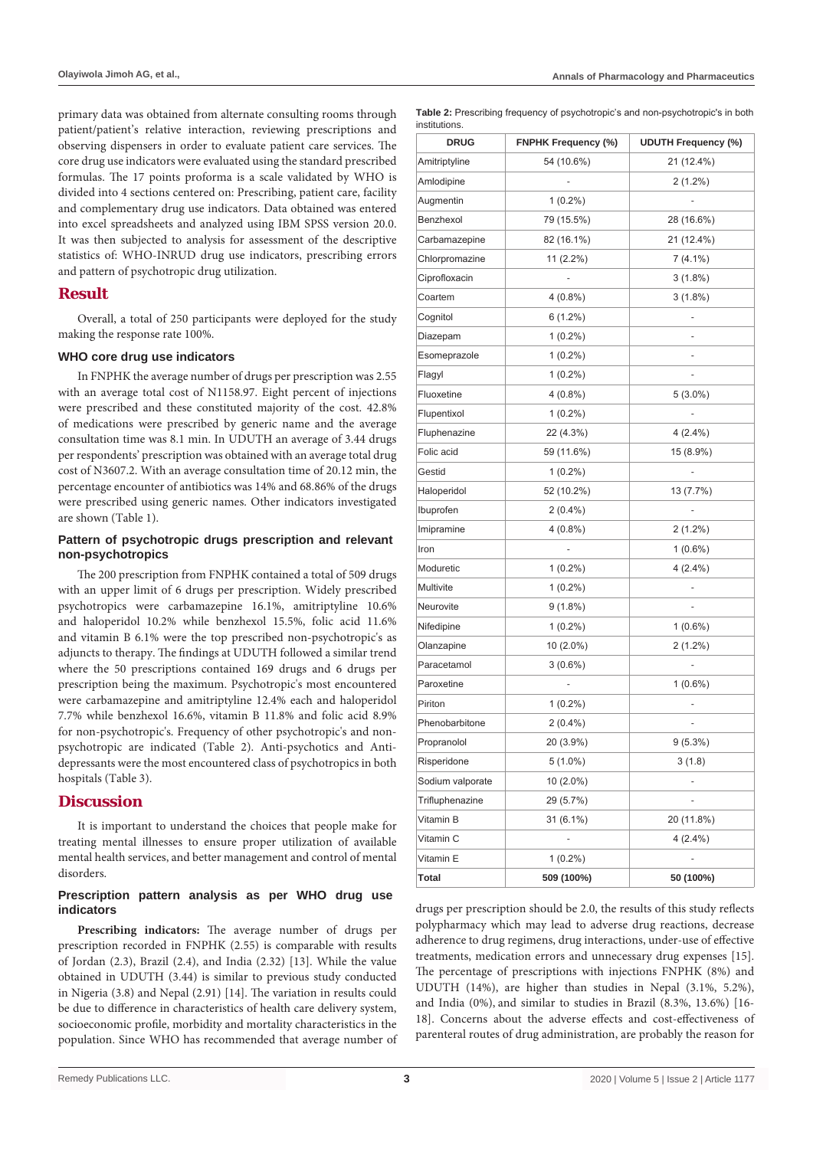primary data was obtained from alternate consulting rooms through patient/patient's relative interaction, reviewing prescriptions and observing dispensers in order to evaluate patient care services. The core drug use indicators were evaluated using the standard prescribed formulas. The 17 points proforma is a scale validated by WHO is divided into 4 sections centered on: Prescribing, patient care, facility and complementary drug use indicators. Data obtained was entered into excel spreadsheets and analyzed using IBM SPSS version 20.0. It was then subjected to analysis for assessment of the descriptive statistics of: WHO-INRUD drug use indicators, prescribing errors and pattern of psychotropic drug utilization.

# **Result**

Overall, a total of 250 participants were deployed for the study making the response rate 100%.

#### **WHO core drug use indicators**

In FNPHK the average number of drugs per prescription was 2.55 with an average total cost of N1158.97. Eight percent of injections were prescribed and these constituted majority of the cost. 42.8% of medications were prescribed by generic name and the average consultation time was 8.1 min. In UDUTH an average of 3.44 drugs per respondents' prescription was obtained with an average total drug cost of N3607.2. With an average consultation time of 20.12 min, the percentage encounter of antibiotics was 14% and 68.86% of the drugs were prescribed using generic names. Other indicators investigated are shown (Table 1).

#### **Pattern of psychotropic drugs prescription and relevant non-psychotropics**

The 200 prescription from FNPHK contained a total of 509 drugs with an upper limit of 6 drugs per prescription. Widely prescribed psychotropics were carbamazepine 16.1%, amitriptyline 10.6% and haloperidol 10.2% while benzhexol 15.5%, folic acid 11.6% and vitamin B 6.1% were the top prescribed non-psychotropic's as adjuncts to therapy. The findings at UDUTH followed a similar trend where the 50 prescriptions contained 169 drugs and 6 drugs per prescription being the maximum. Psychotropic's most encountered were carbamazepine and amitriptyline 12.4% each and haloperidol 7.7% while benzhexol 16.6%, vitamin B 11.8% and folic acid 8.9% for non-psychotropic's. Frequency of other psychotropic's and nonpsychotropic are indicated (Table 2). Anti-psychotics and Antidepressants were the most encountered class of psychotropics in both hospitals (Table 3).

# **Discussion**

It is important to understand the choices that people make for treating mental illnesses to ensure proper utilization of available mental health services, and better management and control of mental disorders.

#### **Prescription pattern analysis as per WHO drug use indicators**

**Prescribing indicators:** The average number of drugs per prescription recorded in FNPHK (2.55) is comparable with results of Jordan (2.3), Brazil (2.4), and India (2.32) [13]. While the value obtained in UDUTH (3.44) is similar to previous study conducted in Nigeria (3.8) and Nepal (2.91) [14]. The variation in results could be due to difference in characteristics of health care delivery system, socioeconomic profile, morbidity and mortality characteristics in the population. Since WHO has recommended that average number of **Table 2:** Prescribing frequency of psychotropic's and non-psychotropic's in both institutions.

| <b>DRUG</b>      | <b>FNPHK Frequency (%)</b> | <b>UDUTH Frequency (%)</b> |
|------------------|----------------------------|----------------------------|
| Amitriptyline    | 54 (10.6%)                 | 21 (12.4%)                 |
| Amlodipine       |                            | $2(1.2\%)$                 |
| Augmentin        | $1(0.2\%)$                 |                            |
| Benzhexol        | 79 (15.5%)                 | 28 (16.6%)                 |
| Carbamazepine    | 82 (16.1%)                 | 21 (12.4%)                 |
| Chlorpromazine   | 11 (2.2%)                  | $7(4.1\%)$                 |
| Ciprofloxacin    |                            | $3(1.8\%)$                 |
| Coartem          | $4(0.8\%)$                 | $3(1.8\%)$                 |
| Cognitol         | $6(1.2\%)$                 |                            |
| Diazepam         | $1(0.2\%)$                 |                            |
| Esomeprazole     | $1(0.2\%)$                 |                            |
| Flagyl           | $1(0.2\%)$                 |                            |
| Fluoxetine       | $4(0.8\%)$                 | $5(3.0\%)$                 |
| Flupentixol      | $1(0.2\%)$                 |                            |
| Fluphenazine     | 22 (4.3%)                  | $4(2.4\%)$                 |
| Folic acid       | 59 (11.6%)                 | 15 (8.9%)                  |
| Gestid           | $1(0.2\%)$                 |                            |
| Haloperidol      | 52 (10.2%)                 | 13 (7.7%)                  |
| Ibuprofen        | $2(0.4\%)$                 |                            |
| Imipramine       | $4(0.8\%)$                 | $2(1.2\%)$                 |
| Iron             |                            | $1(0.6\%)$                 |
| Moduretic        | $1(0.2\%)$                 | $4(2.4\%)$                 |
| Multivite        | $1(0.2\%)$                 |                            |
| Neurovite        | $9(1.8\%)$                 |                            |
| Nifedipine       | $1(0.2\%)$                 | $1(0.6\%)$                 |
| Olanzapine       | 10 (2.0%)                  | $2(1.2\%)$                 |
| Paracetamol      | $3(0.6\%)$                 |                            |
| Paroxetine       |                            | $1(0.6\%)$                 |
| Piriton          | $1(0.2\%)$                 |                            |
| Phenobarbitone   | $2(0.4\%)$                 |                            |
| Propranolol      | 20 (3.9%)                  | $9(5.3\%)$                 |
| Risperidone      | $5(1.0\%)$                 | 3(1.8)                     |
| Sodium valporate | 10 (2.0%)                  |                            |
| Trifluphenazine  | 29 (5.7%)                  |                            |
| Vitamin B        | $31(6.1\%)$                | 20 (11.8%)                 |
| Vitamin C        |                            | $4(2.4\%)$                 |
| Vitamin E        | $1(0.2\%)$                 |                            |
| Total            | 509 (100%)                 | 50 (100%)                  |

drugs per prescription should be 2.0, the results of this study reflects polypharmacy which may lead to adverse drug reactions, decrease adherence to drug regimens, drug interactions, under-use of effective treatments, medication errors and unnecessary drug expenses [15]. The percentage of prescriptions with injections FNPHK (8%) and UDUTH (14%), are higher than studies in Nepal (3.1%, 5.2%), and India (0%), and similar to studies in Brazil (8.3%, 13.6%) [16- 18]. Concerns about the adverse effects and cost-effectiveness of parenteral routes of drug administration, are probably the reason for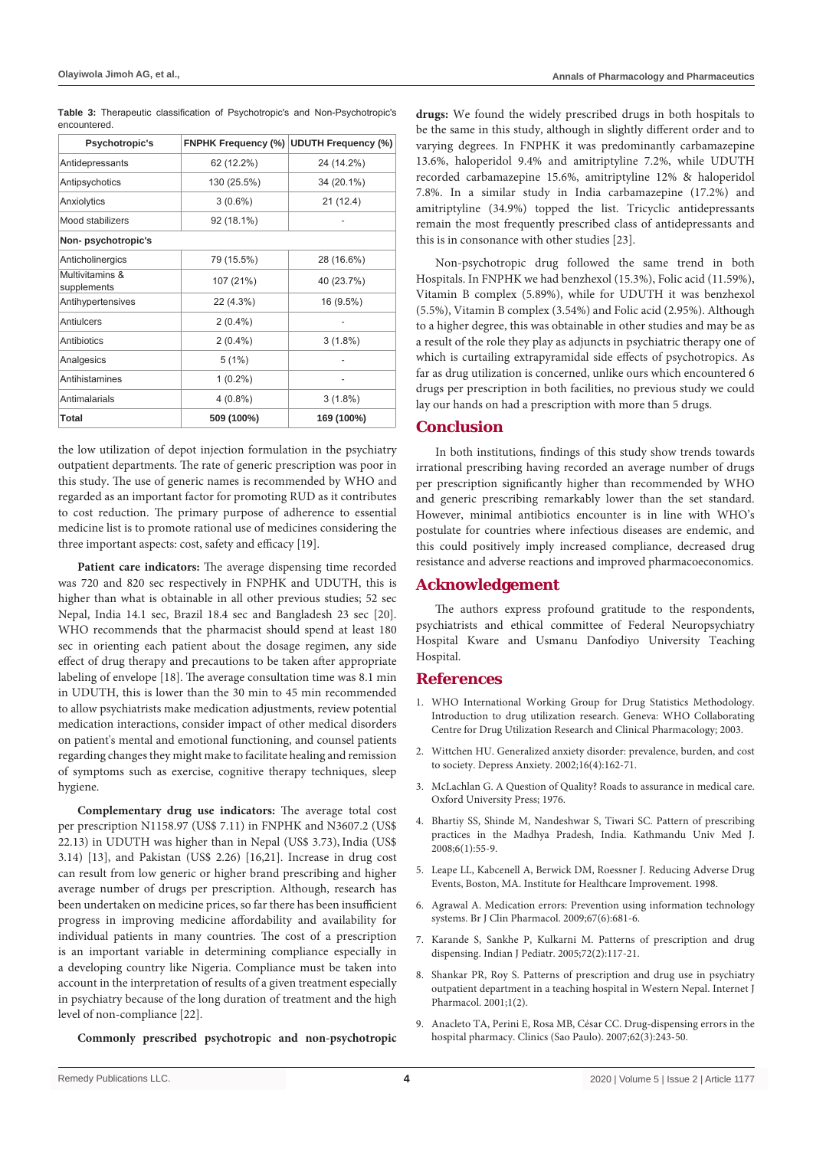| Psychotropic's                 |             | FNPHK Frequency (%) UDUTH Frequency (%) |  |  |  |
|--------------------------------|-------------|-----------------------------------------|--|--|--|
| Antidepressants                | 62 (12.2%)  | 24 (14.2%)                              |  |  |  |
| Antipsychotics                 | 130 (25.5%) | 34 (20.1%)                              |  |  |  |
| Anxiolytics                    | $3(0.6\%)$  | 21(12.4)                                |  |  |  |
| Mood stabilizers               | 92 (18.1%)  |                                         |  |  |  |
| Non-psychotropic's             |             |                                         |  |  |  |
| Anticholinergics               | 79 (15.5%)  | 28 (16.6%)                              |  |  |  |
| Multivitamins &<br>supplements | 107 (21%)   | 40 (23.7%)                              |  |  |  |
| Antihypertensives              | 22 (4.3%)   | 16 (9.5%)                               |  |  |  |
| Antiulcers                     | $2(0.4\%)$  |                                         |  |  |  |
| Antibiotics                    | $2(0.4\%)$  | $3(1.8\%)$                              |  |  |  |
| Analgesics                     | 5(1%)       |                                         |  |  |  |
| Antihistamines                 | $1(0.2\%)$  |                                         |  |  |  |
| Antimalarials                  | $4(0.8\%)$  | $3(1.8\%)$                              |  |  |  |
| Total                          | 509 (100%)  | 169 (100%)                              |  |  |  |

**Table 3:** Therapeutic classification of Psychotropic's and Non-Psychotropic's encountered.

the low utilization of depot injection formulation in the psychiatry outpatient departments. The rate of generic prescription was poor in this study. The use of generic names is recommended by WHO and regarded as an important factor for promoting RUD as it contributes to cost reduction. The primary purpose of adherence to essential medicine list is to promote rational use of medicines considering the three important aspects: cost, safety and efficacy [19].

**Patient care indicators:** The average dispensing time recorded was 720 and 820 sec respectively in FNPHK and UDUTH, this is higher than what is obtainable in all other previous studies; 52 sec Nepal, India 14.1 sec, Brazil 18.4 sec and Bangladesh 23 sec [20]. WHO recommends that the pharmacist should spend at least 180 sec in orienting each patient about the dosage regimen, any side effect of drug therapy and precautions to be taken after appropriate labeling of envelope [18]. The average consultation time was 8.1 min in UDUTH, this is lower than the 30 min to 45 min recommended to allow psychiatrists make medication adjustments, review potential medication interactions, consider impact of other medical disorders on patient's mental and emotional functioning, and counsel patients regarding changes they might make to facilitate healing and remission of symptoms such as exercise, cognitive therapy techniques, sleep hygiene.

**Complementary drug use indicators:** The average total cost per prescription N1158.97 (US\$ 7.11) in FNPHK and N3607.2 (US\$ 22.13) in UDUTH was higher than in Nepal (US\$ 3.73), India (US\$ 3.14) [13], and Pakistan (US\$ 2.26) [16,21]. Increase in drug cost can result from low generic or higher brand prescribing and higher average number of drugs per prescription. Although, research has been undertaken on medicine prices, so far there has been insufficient progress in improving medicine affordability and availability for individual patients in many countries. The cost of a prescription is an important variable in determining compliance especially in a developing country like Nigeria. Compliance must be taken into account in the interpretation of results of a given treatment especially in psychiatry because of the long duration of treatment and the high level of non-compliance [22].

**Commonly prescribed psychotropic and non-psychotropic** 

**drugs:** We found the widely prescribed drugs in both hospitals to be the same in this study, although in slightly different order and to varying degrees. In FNPHK it was predominantly carbamazepine 13.6%, haloperidol 9.4% and amitriptyline 7.2%, while UDUTH recorded carbamazepine 15.6%, amitriptyline 12% & haloperidol 7.8%. In a similar study in India carbamazepine (17.2%) and amitriptyline (34.9%) topped the list. Tricyclic antidepressants remain the most frequently prescribed class of antidepressants and this is in consonance with other studies [23].

Non-psychotropic drug followed the same trend in both Hospitals. In FNPHK we had benzhexol (15.3%), Folic acid (11.59%), Vitamin B complex (5.89%), while for UDUTH it was benzhexol (5.5%), Vitamin B complex (3.54%) and Folic acid (2.95%). Although to a higher degree, this was obtainable in other studies and may be as a result of the role they play as adjuncts in psychiatric therapy one of which is curtailing extrapyramidal side effects of psychotropics. As far as drug utilization is concerned, unlike ours which encountered 6 drugs per prescription in both facilities, no previous study we could lay our hands on had a prescription with more than 5 drugs.

#### **Conclusion**

In both institutions, findings of this study show trends towards irrational prescribing having recorded an average number of drugs per prescription significantly higher than recommended by WHO and generic prescribing remarkably lower than the set standard. However, minimal antibiotics encounter is in line with WHO's postulate for countries where infectious diseases are endemic, and this could positively imply increased compliance, decreased drug resistance and adverse reactions and improved pharmacoeconomics.

## **Acknowledgement**

The authors express profound gratitude to the respondents, psychiatrists and ethical committee of Federal Neuropsychiatry Hospital Kware and Usmanu Danfodiyo University Teaching Hospital.

#### **References**

- 1. WHO [International Working Group for Drug Statistics Methodology.](https://apps.who.int/medicinedocs/pdf/s4876e/s4876e.pdf)  [Introduction to drug utilization research. Geneva: WHO Collaborating](https://apps.who.int/medicinedocs/pdf/s4876e/s4876e.pdf)  [Centre for Drug Utilization Research and Clinical Pharmacology; 2003.](https://apps.who.int/medicinedocs/pdf/s4876e/s4876e.pdf)
- 2. [Wit](https://apps.who.int/medicinedocs/pdf/s4876e/s4876e.pdf)t[chen HU. Generalized anxiety disorder: prevalence, burden, and cost](https://www.ncbi.nlm.nih.gov/pubmed/12497648)  [to society. Depress Anxiety. 2002;16\(4\):162-71.](https://www.ncbi.nlm.nih.gov/pubmed/12497648)
- 3. [McL](https://www.ncbi.nlm.nih.gov/pubmed/12497648)[achlan G. A Question of Quality? Roads to assurance in medical care.](https://scholar.google.com/scholar?hl=en&as_sdt=0%2C5&q=A+Question+of+Quality%3F+Roads+to+assurance+in+medical+care.+Oxford+University+Press%3B+1976&btnG=)  [Oxford University Press; 1976.](https://scholar.google.com/scholar?hl=en&as_sdt=0%2C5&q=A+Question+of+Quality%3F+Roads+to+assurance+in+medical+care.+Oxford+University+Press%3B+1976&btnG=)
- 4. [Bhar](https://scholar.google.com/scholar?hl=en&as_sdt=0%2C5&q=A+Question+of+Quality%3F+Roads+to+assurance+in+medical+care.+Oxford+University+Press%3B+1976&btnG=)[tiy SS, Shinde M, Nandeshwar S, Tiwari SC. Pattern of prescribing](https://www.ncbi.nlm.nih.gov/pubmed/18604116)  [practices in the Madhya Pradesh, India. Kathmandu Univ Med J.](https://www.ncbi.nlm.nih.gov/pubmed/18604116)  [2008;6\(1\):55-9.](https://www.ncbi.nlm.nih.gov/pubmed/18604116)
- 5. [Lea](https://www.ncbi.nlm.nih.gov/pubmed/18604116)[pe LL, Kabcenell A, Berwick DM, Roessner J. Reducing Adverse Drug](https://scholar.google.com/scholar?hl=en&as_sdt=0%2C5&q=Reducing+Adverse+Drug+Events%2C+Boston%2C+MA.+Institute+for+Healthcare+Improvement.+1998&btnG=)  [Events, Boston, MA. Institute for Healthcare Improvement. 1998.](https://scholar.google.com/scholar?hl=en&as_sdt=0%2C5&q=Reducing+Adverse+Drug+Events%2C+Boston%2C+MA.+Institute+for+Healthcare+Improvement.+1998&btnG=)
- 6. [Agr](https://scholar.google.com/scholar?hl=en&as_sdt=0%2C5&q=Reducing+Adverse+Drug+Events%2C+Boston%2C+MA.+Institute+for+Healthcare+Improvement.+1998&btnG=)a[wal A. Medication errors: Prevention using information technology](https://www.ncbi.nlm.nih.gov/pubmed/19594538)  [systems. Br J Clin Pharmacol. 2009;67\(6\):681-6.](https://www.ncbi.nlm.nih.gov/pubmed/19594538)
- 7. [Kar](https://www.ncbi.nlm.nih.gov/pubmed/19594538)[ande S, Sankhe P, Kulkarni M. Patterns of prescription and drug](http://www.ncbi.nlm.nih.gov/pubmed/15758532)  [dispensing. Indian J Pediatr. 2005;72\(2\):117-21.](http://www.ncbi.nlm.nih.gov/pubmed/15758532)
- 8. [Shan](http://www.ncbi.nlm.nih.gov/pubmed/15758532)[kar PR, Roy S. Patterns of prescription and drug use in psychiatry](http://ispub.com/IJPHARM/1/2/6216)  [outpatient department in a teaching hospital in Western Nepal. Internet J](http://ispub.com/IJPHARM/1/2/6216)  [Pharmacol. 2001;1\(2\).](http://ispub.com/IJPHARM/1/2/6216)
- 9. [Ana](http://ispub.com/IJPHARM/1/2/6216)c[leto TA, Perini E, Rosa MB, César CC. Drug-dispensing errors in the](http://www.ncbi.nlm.nih.gov/pubmed/17589663)  [hospital pharmacy. Clinics \(Sao Paulo\). 2007;62\(3\):243-50.](http://www.ncbi.nlm.nih.gov/pubmed/17589663)